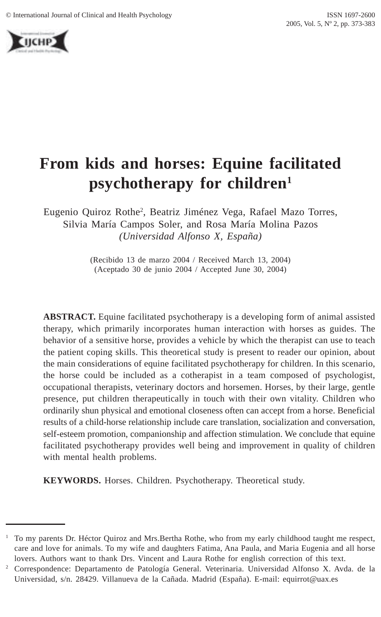

# **From kids and horses: Equine facilitated psychotherapy for children1**

Eugenio Quiroz Rothe<sup>2</sup>, Beatriz Jiménez Vega, Rafael Mazo Torres, Silvia María Campos Soler, and Rosa María Molina Pazos *(Universidad Alfonso X, España)*

> (Recibido 13 de marzo 2004 / Received March 13, 2004) (Aceptado 30 de junio 2004 / Accepted June 30, 2004)

**ABSTRACT.** Equine facilitated psychotherapy is a developing form of animal assisted therapy, which primarily incorporates human interaction with horses as guides. The behavior of a sensitive horse, provides a vehicle by which the therapist can use to teach the patient coping skills. This theoretical study is present to reader our opinion, about the main considerations of equine facilitated psychotherapy for children. In this scenario, the horse could be included as a cotherapist in a team composed of psychologist, occupational therapists, veterinary doctors and horsemen. Horses, by their large, gentle presence, put children therapeutically in touch with their own vitality. Children who ordinarily shun physical and emotional closeness often can accept from a horse. Beneficial results of a child-horse relationship include care translation, socialization and conversation, self-esteem promotion, companionship and affection stimulation. We conclude that equine facilitated psychotherapy provides well being and improvement in quality of children with mental health problems.

**KEYWORDS.** Horses. Children. Psychotherapy. Theoretical study.

<sup>1</sup> To my parents Dr. Héctor Quiroz and Mrs.Bertha Rothe, who from my early childhood taught me respect, care and love for animals. To my wife and daughters Fatima, Ana Paula, and Maria Eugenia and all horse lovers. Authors want to thank Drs. Vincent and Laura Rothe for english correction of this text.

<sup>2</sup> Correspondence: Departamento de Patología General. Veterinaria. Universidad Alfonso X. Avda. de la Universidad, s/n. 28429. Villanueva de la Cañada. Madrid (España). E-mail: equirrot@uax.es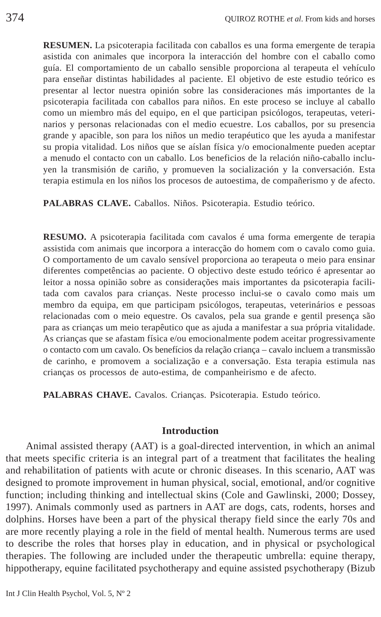**RESUMEN.** La psicoterapia facilitada con caballos es una forma emergente de terapia asistida con animales que incorpora la interacción del hombre con el caballo como guía. El comportamiento de un caballo sensible proporciona al terapeuta el vehículo para enseñar distintas habilidades al paciente. El objetivo de este estudio teórico es presentar al lector nuestra opinión sobre las consideraciones más importantes de la psicoterapia facilitada con caballos para niños. En este proceso se incluye al caballo como un miembro más del equipo, en el que participan psicólogos, terapeutas, veterinarios y personas relacionadas con el medio ecuestre. Los caballos, por su presencia grande y apacible, son para los niños un medio terapéutico que les ayuda a manifestar su propia vitalidad. Los niños que se aíslan física y/o emocionalmente pueden aceptar a menudo el contacto con un caballo. Los beneficios de la relación niño-caballo incluyen la transmisión de cariño, y promueven la socialización y la conversación. Esta terapia estimula en los niños los procesos de autoestima, de compañerismo y de afecto.

**PALABRAS CLAVE.** Caballos. Niños. Psicoterapia. Estudio teórico.

**RESUMO.** A psicoterapia facilitada com cavalos é uma forma emergente de terapia assistida com animais que incorpora a interacção do homem com o cavalo como guia. O comportamento de um cavalo sensível proporciona ao terapeuta o meio para ensinar diferentes competências ao paciente. O objectivo deste estudo teórico é apresentar ao leitor a nossa opinião sobre as considerações mais importantes da psicoterapia facilitada com cavalos para crianças. Neste processo inclui-se o cavalo como mais um membro da equipa, em que participam psicólogos, terapeutas, veterinários e pessoas relacionadas com o meio equestre. Os cavalos, pela sua grande e gentil presença são para as crianças um meio terapêutico que as ajuda a manifestar a sua própria vitalidade. As crianças que se afastam física e/ou emocionalmente podem aceitar progressivamente o contacto com um cavalo. Os benefícios da relação criança – cavalo incluem a transmissão de carinho, e promovem a socialização e a conversação. Esta terapia estimula nas crianças os processos de auto-estima, de companheirismo e de afecto.

**PALABRAS CHAVE.** Cavalos. Crianças. Psicoterapia. Estudo teórico.

### **Introduction**

Animal assisted therapy (AAT) is a goal-directed intervention, in which an animal that meets specific criteria is an integral part of a treatment that facilitates the healing and rehabilitation of patients with acute or chronic diseases. In this scenario, AAT was designed to promote improvement in human physical, social, emotional, and/or cognitive function; including thinking and intellectual skins (Cole and Gawlinski, 2000; Dossey, 1997). Animals commonly used as partners in AAT are dogs, cats, rodents, horses and dolphins. Horses have been a part of the physical therapy field since the early 70s and are more recently playing a role in the field of mental health. Numerous terms are used to describe the roles that horses play in education, and in physical or psychological therapies. The following are included under the therapeutic umbrella: equine therapy, hippotherapy, equine facilitated psychotherapy and equine assisted psychotherapy (Bizub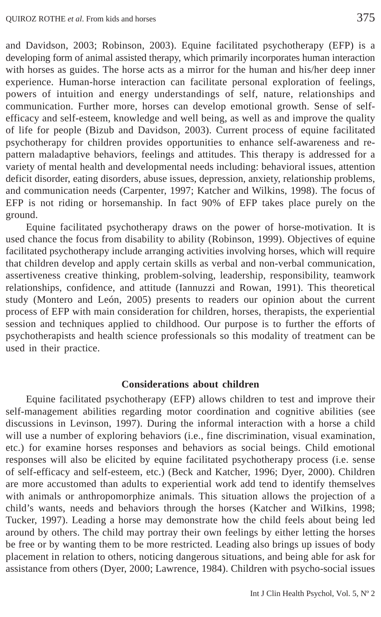and Davidson, 2003; Robinson, 2003). Equine facilitated psychotherapy (EFP) is a developing form of animal assisted therapy, which primarily incorporates human interaction with horses as guides. The horse acts as a mirror for the human and his/her deep inner experience. Human-horse interaction can facilitate personal exploration of feelings, powers of intuition and energy understandings of self, nature, relationships and communication. Further more, horses can develop emotional growth. Sense of selfefficacy and self-esteem, knowledge and well being, as well as and improve the quality of life for people (Bizub and Davidson, 2003). Current process of equine facilitated psychotherapy for children provides opportunities to enhance self-awareness and repattern maladaptive behaviors, feelings and attitudes. This therapy is addressed for a variety of mental health and developmental needs including: behavioral issues, attention deficit disorder, eating disorders, abuse issues, depression, anxiety, relationship problems, and communication needs (Carpenter, 1997; Katcher and Wilkins, 1998). The focus of EFP is not riding or horsemanship. In fact 90% of EFP takes place purely on the ground.

Equine facilitated psychotherapy draws on the power of horse-motivation. It is used chance the focus from disability to ability (Robinson, 1999). Objectives of equine facilitated psychotherapy include arranging activities involving horses, which will require that children develop and apply certain skills as verbal and non-verbal communication, assertiveness creative thinking, problem-solving, leadership, responsibility, teamwork relationships, confidence, and attitude (Iannuzzi and Rowan, 1991). This theoretical study (Montero and León, 2005) presents to readers our opinion about the current process of EFP with main consideration for children, horses, therapists, the experiential session and techniques applied to childhood. Our purpose is to further the efforts of psychotherapists and health science professionals so this modality of treatment can be used in their practice.

# **Considerations about children**

Equine facilitated psychotherapy (EFP) allows children to test and improve their self-management abilities regarding motor coordination and cognitive abilities (see discussions in Levinson, 1997). During the informal interaction with a horse a child will use a number of exploring behaviors (i.e., fine discrimination, visual examination, etc.) for examine horses responses and behaviors as social beings. Child emotional responses will also be elicited by equine facilitated psychotherapy process (i.e. sense of self-efficacy and self-esteem, etc.) (Beck and Katcher, 1996; Dyer, 2000). Children are more accustomed than adults to experiential work add tend to identify themselves with animals or anthropomorphize animals. This situation allows the projection of a child's wants, needs and behaviors through the horses (Katcher and WiIkins, 1998; Tucker, 1997). Leading a horse may demonstrate how the child feels about being led around by others. The child may portray their own feelings by either letting the horses be free or by wanting them to be more restricted. Leading also brings up issues of body placement in relation to others, noticing dangerous situations, and being able for ask for assistance from others (Dyer, 2000; Lawrence, 1984). Children with psycho-social issues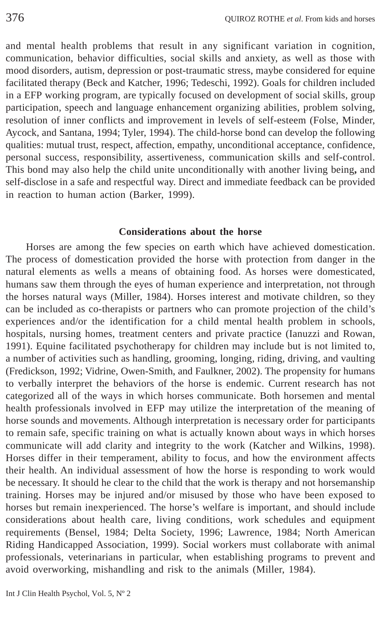and mental health problems that result in any significant variation in cognition, communication, behavior difficulties, social skills and anxiety, as well as those with mood disorders, autism, depression or post-traumatic stress, maybe considered for equine facilitated therapy (Beck and Katcher, 1996; Tedeschi, 1992). Goals for children included in a EFP working program, are typically focused on development of social skills, group participation, speech and language enhancement organizing abilities, problem solving, resolution of inner conflicts and improvement in levels of self-esteem (Folse, Minder, Aycock, and Santana, 1994; Tyler, 1994). The child-horse bond can develop the following qualities: mutual trust, respect, affection, empathy, unconditional acceptance, confidence, personal success, responsibility, assertiveness, communication skills and self-control. This bond may also help the child unite unconditionally with another living being**,** and self-disclose in a safe and respectful way. Direct and immediate feedback can be provided in reaction to human action (Barker, 1999).

# **Considerations about the horse**

Horses are among the few species on earth which have achieved domestication. The process of domestication provided the horse with protection from danger in the natural elements as wells a means of obtaining food. As horses were domesticated, humans saw them through the eyes of human experience and interpretation, not through the horses natural ways (Miller, 1984). Horses interest and motivate children, so they can be included as co-therapists or partners who can promote projection of the child's experiences and/or the identification for a child mental health problem in schools, hospitals, nursing homes, treatment centers and private practice (Ianuzzi and Rowan, 1991). Equine facilitated psychotherapy for children may include but is not limited to, a number of activities such as handling, grooming, longing, riding, driving, and vaulting (Fredickson, 1992; Vidrine, Owen-Smith, and Faulkner, 2002). The propensity for humans to verbally interpret the behaviors of the horse is endemic. Current research has not categorized all of the ways in which horses communicate. Both horsemen and mental health professionals involved in EFP may utilize the interpretation of the meaning of horse sounds and movements. Although interpretation is necessary order for participants to remain safe, specific training on what is actually known about ways in which horses communicate will add clarity and integrity to the work (Katcher and Wilkins, 1998). Horses differ in their temperament, ability to focus, and how the environment affects their health. An individual assessment of how the horse is responding to work would be necessary. It should he clear to the child that the work is therapy and not horsemanship training. Horses may be injured and/or misused by those who have been exposed to horses but remain inexperienced. The horse's welfare is important, and should include considerations about health care, living conditions, work schedules and equipment requirements (Bensel, 1984; Delta Society, 1996; Lawrence, 1984; North American Riding Handicapped Association, 1999). Social workers must collaborate with animal professionals, veterinarians in particular, when establishing programs to prevent and avoid overworking, mishandling and risk to the animals (Miller, 1984).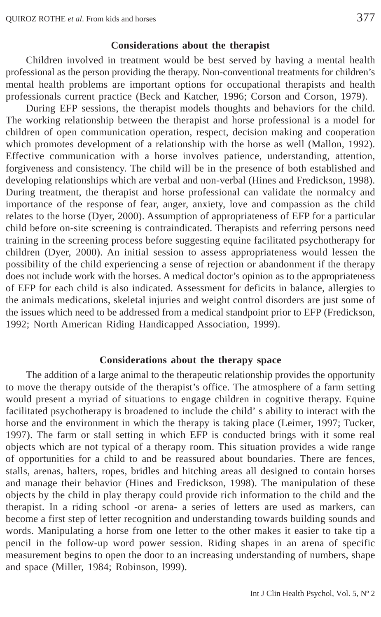#### **Considerations about the therapist**

Children involved in treatment would be best served by having a mental health professional as the person providing the therapy. Non-conventional treatments for children's mental health problems are important options for occupational therapists and health professionals current practice (Beck and Katcher, 1996; Corson and Corson, 1979).

During EFP sessions, the therapist models thoughts and behaviors for the child. The working relationship between the therapist and horse professional is a model for children of open communication operation, respect, decision making and cooperation which promotes development of a relationship with the horse as well (Mallon, 1992). Effective communication with a horse involves patience, understanding, attention, forgiveness and consistency. The child will be in the presence of both established and developing relationships which are verbal and non-verbal (Hines and Fredickson, 1998). During treatment, the therapist and horse professional can validate the normalcy and importance of the response of fear, anger, anxiety, love and compassion as the child relates to the horse (Dyer, 2000). Assumption of appropriateness of EFP for a particular child before on-site screening is contraindicated. Therapists and referring persons need training in the screening process before suggesting equine facilitated psychotherapy for children (Dyer, 2000). An initial session to assess appropriateness would lessen the possibility of the child experiencing a sense of rejection or abandonment if the therapy does not include work with the horses. A medical doctor's opinion as to the appropriateness of EFP for each child is also indicated. Assessment for deficits in balance, allergies to the animals medications, skeletal injuries and weight control disorders are just some of the issues which need to be addressed from a medical standpoint prior to EFP (Fredickson, 1992; North American Riding Handicapped Association, 1999).

#### **Considerations about the therapy space**

The addition of a large animal to the therapeutic relationship provides the opportunity to move the therapy outside of the therapist's office. The atmosphere of a farm setting would present a myriad of situations to engage children in cognitive therapy. Equine facilitated psychotherapy is broadened to include the child' s ability to interact with the horse and the environment in which the therapy is taking place (Leimer, 1997; Tucker, 1997). The farm or stall setting in which EFP is conducted brings with it some real objects which are not typical of a therapy room. This situation provides a wide range of opportunities for a child to and be reassured about boundaries. There are fences, stalls, arenas, halters, ropes, bridles and hitching areas all designed to contain horses and manage their behavior (Hines and Fredickson, 1998). The manipulation of these objects by the child in play therapy could provide rich information to the child and the therapist. In a riding school -or arena- a series of letters are used as markers, can become a first step of letter recognition and understanding towards building sounds and words. Manipulating a horse from one letter to the other makes it easier to take tip a pencil in the follow-up word power session. Riding shapes in an arena of specific measurement begins to open the door to an increasing understanding of numbers, shape and space (Miller, 1984; Robinson, l999).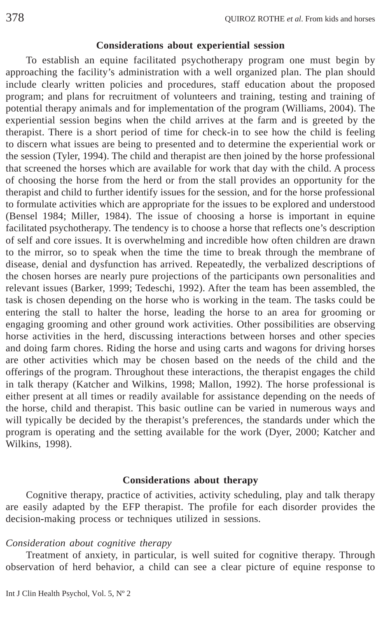#### **Considerations about experiential session**

To establish an equine facilitated psychotherapy program one must begin by approaching the facility's administration with a well organized plan. The plan should include clearly written policies and procedures, staff education about the proposed program; and plans for recruitment of volunteers and training, testing and training of potential therapy animals and for implementation of the program (Williams, 2004). The experiential session begins when the child arrives at the farm and is greeted by the therapist. There is a short period of time for check-in to see how the child is feeling to discern what issues are being to presented and to determine the experiential work or the session (Tyler, 1994). The child and therapist are then joined by the horse professional that screened the horses which are available for work that day with the child. A process of choosing the horse from the herd or from the stall provides an opportunity for the therapist and child to further identify issues for the session, and for the horse professional to formulate activities which are appropriate for the issues to be explored and understood (Bensel 1984; Miller, 1984). The issue of choosing a horse is important in equine facilitated psychotherapy. The tendency is to choose a horse that reflects one's description of self and core issues. It is overwhelming and incredible how often children are drawn to the mirror, so to speak when the time the time to break through the membrane of disease, denial and dysfunction has arrived. Repeatedly, the verbalized descriptions of the chosen horses are nearly pure projections of the participants own personalities and relevant issues (Barker, 1999; Tedeschi, 1992). After the team has been assembled, the task is chosen depending on the horse who is working in the team. The tasks could be entering the stall to halter the horse, leading the horse to an area for grooming or engaging grooming and other ground work activities. Other possibilities are observing horse activities in the herd, discussing interactions between horses and other species and doing farm chores. Riding the horse and using carts and wagons for driving horses are other activities which may be chosen based on the needs of the child and the offerings of the program. Throughout these interactions, the therapist engages the child in talk therapy (Katcher and Wilkins, 1998; Mallon, 1992). The horse professional is either present at all times or readily available for assistance depending on the needs of the horse, child and therapist. This basic outline can be varied in numerous ways and will typically be decided by the therapist's preferences, the standards under which the program is operating and the setting available for the work (Dyer, 2000; Katcher and Wilkins, 1998).

#### **Considerations about therapy**

Cognitive therapy, practice of activities, activity scheduling, play and talk therapy are easily adapted by the EFP therapist. The profile for each disorder provides the decision**-**making process or techniques utilized in sessions.

#### *Consideration about cognitive therapy*

Treatment of anxiety, in particular, is well suited for cognitive therapy. Through observation of herd behavior, a child can see a clear picture of equine response to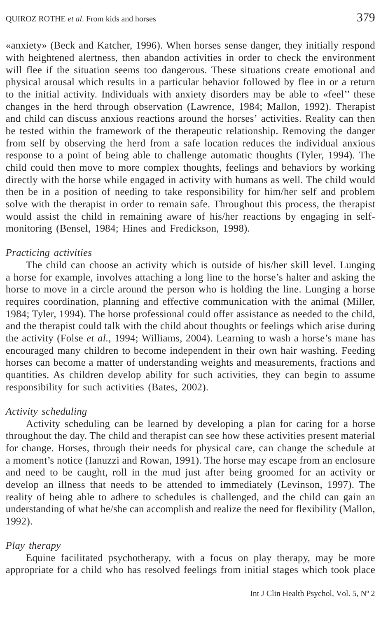«anxiety» (Beck and Katcher, 1996). When horses sense danger, they initially respond with heightened alertness, then abandon activities in order to check the environment will flee if the situation seems too dangerous. These situations create emotional and physical arousal which results in a particular behavior followed by flee in or a return to the initial activity. Individuals with anxiety disorders may be able to «feel'' these changes in the herd through observation (Lawrence, 1984; Mallon, 1992). Therapist and child can discuss anxious reactions around the horses' activities. Reality can then be tested within the framework of the therapeutic relationship. Removing the danger from self by observing the herd from a safe location reduces the individual anxious response to a point of being able to challenge automatic thoughts (Tyler, 1994). The child could then move to more complex thoughts, feelings and behaviors by working directly with the horse while engaged in activity with humans as well. The child would then be in a position of needing to take responsibility for him/her self and problem solve with the therapist in order to remain safe. Throughout this process, the therapist would assist the child in remaining aware of his/her reactions by engaging in selfmonitoring (Bensel, 1984; Hines and Fredickson, 1998).

# *Practicing activities*

The child can choose an activity which is outside of his/her skill level. Lunging a horse for example, involves attaching a long line to the horse's halter and asking the horse to move in a circle around the person who is holding the line. Lunging a horse requires coordination, planning and effective communication with the animal (Miller, 1984; Tyler, 1994). The horse professional could offer assistance as needed to the child, and the therapist could talk with the child about thoughts or feelings which arise during the activity (Folse *et al.*, 1994; Williams, 2004). Learning to wash a horse's mane has encouraged many children to become independent in their own hair washing. Feeding horses can become a matter of understanding weights and measurements, fractions and quantities. As children develop ability for such activities, they can begin to assume responsibility for such activities (Bates, 2002).

# *Activity scheduling*

Activity scheduling can be learned by developing a plan for caring for a horse throughout the day. The child and therapist can see how these activities present material for change. Horses, through their needs for physical care, can change the schedule at a moment's notice (Ianuzzi and Rowan, 1991). The horse may escape from an enclosure and need to be caught, roll in the mud just after being groomed for an activity or develop an illness that needs to be attended to immediately (Levinson, 1997). The reality of being able to adhere to schedules is challenged, and the child can gain an understanding of what he/she can accomplish and realize the need for flexibility (Mallon, 1992).

# *Play therapy*

Equine facilitated psychotherapy, with a focus on play therapy, may be more appropriate for a child who has resolved feelings from initial stages which took place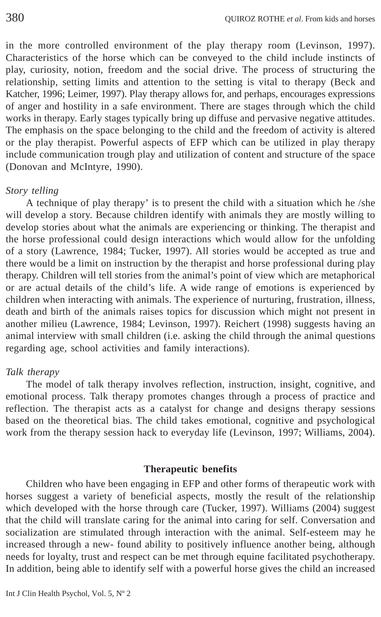in the more controlled environment of the play therapy room (Levinson, 1997). Characteristics of the horse which can be conveyed to the child include instincts of play, curiosity, notion, freedom and the social drive. The process of structuring the relationship, setting limits and attention to the setting is vital to therapy (Beck and Katcher, 1996; Leimer, 1997). Play therapy allows for, and perhaps, encourages expressions of anger and hostility in a safe environment. There are stages through which the child works in therapy. Early stages typically bring up diffuse and pervasive negative attitudes. The emphasis on the space belonging to the child and the freedom of activity is altered or the play therapist. Powerful aspects of EFP which can be utilized in play therapy include communication trough play and utilization of content and structure of the space (Donovan and McIntyre, 1990).

# *Story telling*

A technique of play therapy' is to present the child with a situation which he /she will develop a story. Because children identify with animals they are mostly willing to develop stories about what the animals are experiencing or thinking. The therapist and the horse professional could design interactions which would allow for the unfolding of a story (Lawrence, 1984; Tucker, 1997). All stories would be accepted as true and there would be a limit on instruction by the therapist and horse professional during play therapy. Children will tell stories from the animal's point of view which are metaphorical or are actual details of the child's life. A wide range of emotions is experienced by children when interacting with animals. The experience of nurturing, frustration, illness, death and birth of the animals raises topics for discussion which might not present in another milieu (Lawrence, 1984; Levinson, 1997). Reichert (1998) suggests having an animal interview with small children (i.e. asking the child through the animal questions regarding age, school activities and family interactions).

#### *Talk therapy*

The model of talk therapy involves reflection, instruction, insight, cognitive, and emotional process. Talk therapy promotes changes through a process of practice and reflection. The therapist acts as a catalyst for change and designs therapy sessions based on the theoretical bias. The child takes emotional, cognitive and psychological work from the therapy session hack to everyday life (Levinson, 1997; Williams, 2004).

# **Therapeutic benefits**

Children who have been engaging in EFP and other forms of therapeutic work with horses suggest a variety of beneficial aspects, mostly the result of the relationship which developed with the horse through care (Tucker, 1997). Williams (2004) suggest that the child will translate caring for the animal into caring for self. Conversation and socialization are stimulated through interaction with the animal. Self-esteem may he increased through a new- found ability to positively influence another being, although needs for loyalty, trust and respect can be met through equine facilitated psychotherapy. In addition, being able to identify self with a powerful horse gives the child an increased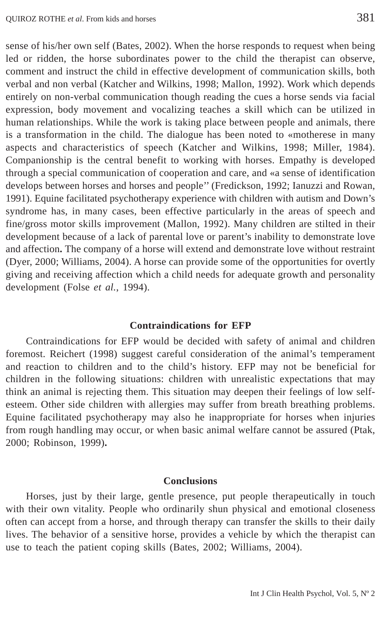sense of his/her own self (Bates, 2002). When the horse responds to request when being led or ridden, the horse subordinates power to the child the therapist can observe, comment and instruct the child in effective development of communication skills, both verbal and non verbal (Katcher and Wilkins, 1998; Mallon, 1992). Work which depends entirely on non-verbal communication though reading the cues a horse sends via facial expression, body movement and vocalizing teaches a skill which can be utilized in human relationships. While the work is taking place between people and animals, there is a transformation in the child. The dialogue has been noted to «motherese in many aspects and characteristics of speech (Katcher and Wilkins, 1998; Miller, 1984). Companionship is the central benefit to working with horses. Empathy is developed through a special communication of cooperation and care, and «a sense of identification develops between horses and horses and people'' (Fredickson, 1992; Ianuzzi and Rowan, 1991). Equine facilitated psychotherapy experience with children with autism and Down's syndrome has, in many cases, been effective particularly in the areas of speech and fine/gross motor skills improvement (Mallon, 1992). Many children are stilted in their development because of a lack of parental love or parent's inability to demonstrate love and affection**.** The company of a horse will extend and demonstrate love without restraint (Dyer, 2000; Williams, 2004). A horse can provide some of the opportunities for overtly giving and receiving affection which a child needs for adequate growth and personality development (Folse *et al.*, 1994).

# **Contraindications for EFP**

Contraindications for EFP would be decided with safety of animal and children foremost. Reichert (1998) suggest careful consideration of the animal's temperament and reaction to children and to the child's history. EFP may not be beneficial for children in the following situations: children with unrealistic expectations that may think an animal is rejecting them. This situation may deepen their feelings of low selfesteem. Other side children with allergies may suffer from breath breathing problems. Equine facilitated psychotherapy may also he inappropriate for horses when injuries from rough handling may occur, or when basic animal welfare cannot be assured (Ptak, 2000; Robinson, 1999)**.**

#### **Conclusions**

Horses, just by their large, gentle presence, put people therapeutically in touch with their own vitality. People who ordinarily shun physical and emotional closeness often can accept from a horse, and through therapy can transfer the skills to their daily lives. The behavior of a sensitive horse, provides a vehicle by which the therapist can use to teach the patient coping skills (Bates, 2002; Williams, 2004).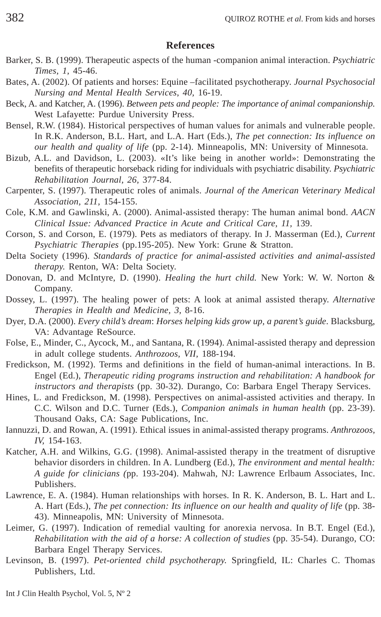#### **References**

- Barker, S. B. (1999). Therapeutic aspects of the human -companion animal interaction. *Psychiatric Times, 1,* 45-46.
- Bates, A. (2002). Of patients and horses: Equine –facilitated psychotherapy. *Journal Psychosocial Nursing and Mental Health Services*, *40,* 16-19.
- Beck, A. and Katcher, A. (1996). *Between pets and people: The importance of animal companionship.* West Lafayette: Purdue University Press.
- Bensel, R.W. (1984). Historical perspectives of human values for animals and vulnerable people. In R.K. Anderson, B.L. Hart, and L.A. Hart (Eds.), *The pet connection: Its influence on our health and quality of life* (pp. 2-14). Minneapolis, MN: University of Minnesota.
- Bizub, A.L. and Davidson, L. (2003). «It's like being in another world»: Demonstrating the benefits of therapeutic horseback riding for individuals with psychiatric disability. *Psychiatric Rehabilitation Journal, 26,* 377-84.
- Carpenter, S. (1997). Therapeutic roles of animals. *Journal of the American Veterinary Medical Association, 211,* 154-155.
- Cole, K.M. and Gawlinski, A. (2000). Animal-assisted therapy: The human animal bond. *AACN Clinical Issue: Advanced Practice in Acute and Critical Care, 11,* 139.
- Corson, S. and Corson, E. (1979). Pets as mediators of therapy. In J. Masserman (Ed.), *Current Psychiatric Therapies* (pp.195-205). New York: Grune & Stratton.
- Delta Society (1996). *Standards of practice for animal-assisted activities and animal-assisted therapy.* Renton, WA: Delta Society.
- Donovan, D. and McIntyre, D. (1990). *Healing the hurt child.* New York: W. W. Norton & Company.
- Dossey, L. (1997). The healing power of pets: A look at animal assisted therapy. *Alternative Therapies in Health and Medicine, 3,* 8-16.
- Dyer, D.A. (2000). *Every child's dream*: *Horses helping kids grow up, a parent's guide*. Blacksburg, VA: Advantage ReSource.
- Folse, E., Minder, C., Aycock, M., and Santana, R. (1994). Animal-assisted therapy and depression in adult college students. *Anthrozoos, VII,* 188-194.
- Fredickson, M. (1992). Terms and definitions in the field of human-animal interactions. In B. Engel (Ed.), *Therapeutic riding programs instruction and rehabilitation: A handbook for instructors and therapists* (pp. 30-32). Durango, Co: Barbara Engel Therapy Services.
- Hines, L. and Fredickson, M. (1998). Perspectives on animal-assisted activities and therapy. In C.C. Wilson and D.C. Turner (Eds.), *Companion animals in human health* (pp. 23-39). Thousand Oaks, CA: Sage Publications, Inc.
- Iannuzzi, D. and Rowan, A. (1991). Ethical issues in animal-assisted therapy programs. *Anthrozoos, IV,* 154-163.
- Katcher, A.H. and Wilkins, G.G. (1998). Animal-assisted therapy in the treatment of disruptive behavior disorders in children. In A. Lundberg (Ed.), *The environment and mental health: A guide for clinicians (*pp. 193-204). Mahwah, NJ: Lawrence Erlbaum Associates, Inc. Publishers.
- Lawrence, E. A. (1984). Human relationships with horses. In R. K. Anderson, B. L. Hart and L. A. Hart (Eds.), *The pet connection: Its influence on our health and quality of life* (pp. 38- 43). Minneapolis, MN: University of Minnesota.
- Leimer, G. (1997). Indication of remedial vaulting for anorexia nervosa. In B.T. Engel (Ed.), *Rehabilitation with the aid of a horse: A collection of studies* (pp. 35-54). Durango, CO: Barbara Engel Therapy Services.
- Levinson, B. (1997). *Pet-oriented child psychotherapy.* Springfield, IL: Charles C. Thomas Publishers, Ltd.